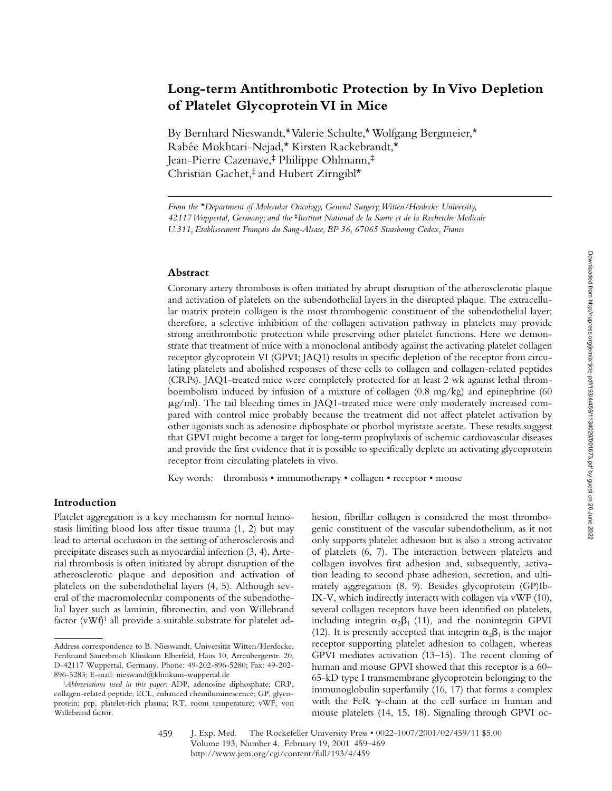# **Long-term Antithrombotic Protection by In Vivo Depletion of Platelet Glycoprotein VI in Mice**

By Bernhard Nieswandt,\* Valerie Schulte,\* Wolfgang Bergmeier,\* Rabée Mokhtari-Nejad,\* Kirsten Rackebrandt,\* Jean-Pierre Cazenave,‡ Philippe Ohlmann,‡ Christian Gachet,‡ and Hubert Zirngibl\*

*From the* \**Department of Molecular Oncology, General Surgery, Witten/Herdecke University, 42117 Wuppertal, Germany; and the* ‡*Institut National de la Sante et de la Recherche Medicale U.311, Etablissement Français du Sang-Alsace, BP 36, 67065 Strasbourg Cedex, France*

### **Abstract**

Coronary artery thrombosis is often initiated by abrupt disruption of the atherosclerotic plaque and activation of platelets on the subendothelial layers in the disrupted plaque. The extracellular matrix protein collagen is the most thrombogenic constituent of the subendothelial layer; therefore, a selective inhibition of the collagen activation pathway in platelets may provide strong antithrombotic protection while preserving other platelet functions. Here we demonstrate that treatment of mice with a monoclonal antibody against the activating platelet collagen receptor glycoprotein VI (GPVI; JAQ1) results in specific depletion of the receptor from circulating platelets and abolished responses of these cells to collagen and collagen-related peptides (CRPs). JAQ1-treated mice were completely protected for at least 2 wk against lethal thromboembolism induced by infusion of a mixture of collagen (0.8 mg/kg) and epinephrine (60  $\mu$ g/ml). The tail bleeding times in JAQ1-treated mice were only moderately increased compared with control mice probably because the treatment did not affect platelet activation by other agonists such as adenosine diphosphate or phorbol myristate acetate. These results suggest that GPVI might become a target for long-term prophylaxis of ischemic cardiovascular diseases and provide the first evidence that it is possible to specifically deplete an activating glycoprotein receptor from circulating platelets in vivo.

Key words: thrombosis • immunotherapy • collagen • receptor • mouse

## **Introduction**

Platelet aggregation is a key mechanism for normal hemostasis limiting blood loss after tissue trauma (1, 2) but may lead to arterial occlusion in the setting of atherosclerosis and precipitate diseases such as myocardial infection (3, 4). Arterial thrombosis is often initiated by abrupt disruption of the atherosclerotic plaque and deposition and activation of platelets on the subendothelial layers (4, 5). Although several of the macromolecular components of the subendothelial layer such as laminin, fibronectin, and von Willebrand factor  $(vWf)^1$  all provide a suitable substrate for platelet adhesion, fibrillar collagen is considered the most thrombogenic constituent of the vascular subendothelium, as it not only supports platelet adhesion but is also a strong activator of platelets (6, 7). The interaction between platelets and collagen involves first adhesion and, subsequently, activation leading to second phase adhesion, secretion, and ultimately aggregation (8, 9). Besides glycoprotein (GP)Ib-IX-V, which indirectly interacts with collagen via vWF (10), several collagen receptors have been identified on platelets, including integrin  $\alpha_2\beta_1$  (11), and the nonintegrin GPVI (12). It is presently accepted that integrin  $\alpha_2\beta_1$  is the major receptor supporting platelet adhesion to collagen, whereas GPVI mediates activation (13–15). The recent cloning of human and mouse GPVI showed that this receptor is a 60– 65-kD type I transmembrane glycoprotein belonging to the immunoglobulin superfamily (16, 17) that forms a complex with the FcR  $\gamma$ -chain at the cell surface in human and mouse platelets (14, 15, 18). Signaling through GPVI oc-

Address correspondence to B. Nieswandt, Universität Witten/Herdecke, Ferdinand Sauerbruch Klinikum Elberfeld, Haus 10, Arrenbergerstr. 20, D-42117 Wuppertal, Germany. Phone: 49-202-896-5280; Fax: 49-202- 896-5283; E-mail: nieswand@klinikum-wuppertal.de

<sup>1</sup>*Abbreviations used in this paper:* ADP, adenosine diphosphate; CRP, collagen-related peptide; ECL, enhanced chemiluminescence; GP, glycoprotein; prp, platelet-rich plasma; RT, room temperature; vWF, von Willebrand factor.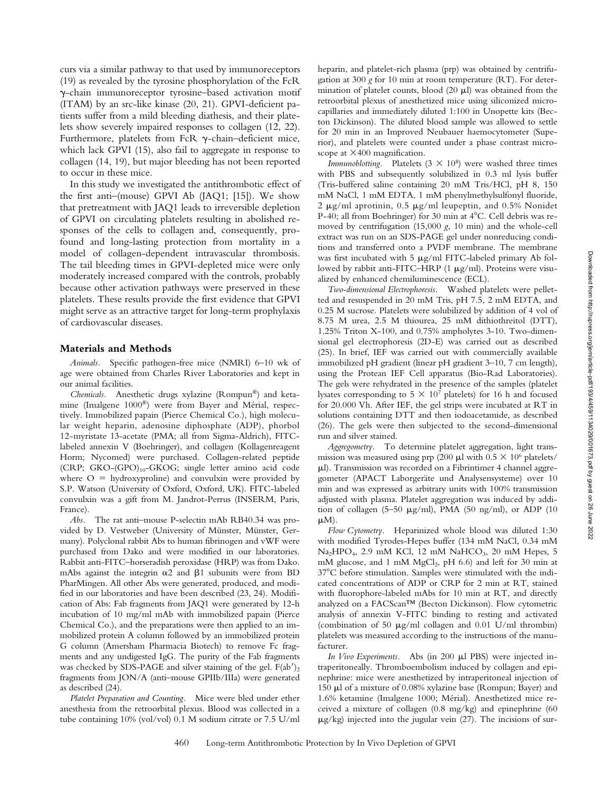curs via a similar pathway to that used by immunoreceptors (19) as revealed by the tyrosine phosphorylation of the FcR g-chain immunoreceptor tyrosine–based activation motif (ITAM) by an src-like kinase (20, 21). GPVI-deficient patients suffer from a mild bleeding diathesis, and their platelets show severely impaired responses to collagen (12, 22). Furthermore, platelets from FcR  $\gamma$ -chain-deficient mice, which lack GPVI (15), also fail to aggregate in response to collagen (14, 19), but major bleeding has not been reported to occur in these mice.

In this study we investigated the antithrombotic effect of the first anti–(mouse) GPVI Ab (JAQ1; [15]). We show that pretreatment with JAQ1 leads to irreversible depletion of GPVI on circulating platelets resulting in abolished responses of the cells to collagen and, consequently, profound and long-lasting protection from mortality in a model of collagen-dependent intravascular thrombosis. The tail bleeding times in GPVI-depleted mice were only moderately increased compared with the controls, probably because other activation pathways were preserved in these platelets. These results provide the first evidence that GPVI might serve as an attractive target for long-term prophylaxis of cardiovascular diseases.

#### **Materials and Methods**

*Animals.* Specific pathogen-free mice (NMRI) 6–10 wk of age were obtained from Charles River Laboratories and kept in our animal facilities.

*Chemicals.* Anesthetic drugs xylazine (Rompun®) and ketamine (Imalgene 1000®) were from Bayer and Mérial, respectively. Immobilized papain (Pierce Chemical Co.), high molecular weight heparin, adenosine diphosphate (ADP), phorbol 12-myristate 13-acetate (PMA; all from Sigma-Aldrich), FITClabeled annexin V (Boehringer), and collagen (Kollagenreagent Horm; Nycomed) were purchased. Collagen-related peptide (CRP; GKO-(GPO)<sub>10</sub>-GKOG; single letter amino acid code where  $O =$  hydroxyproline) and convulxin were provided by S.P. Watson (University of Oxford, Oxford, UK). FITC-labeled convulxin was a gift from M. Jandrot-Perrus (INSERM, Paris, France).

*Abs.* The rat anti–mouse P-selectin mAb RB40.34 was provided by D. Vestweber (University of Münster, Münster, Germany). Polyclonal rabbit Abs to human fibrinogen and vWF were purchased from Dako and were modified in our laboratories. Rabbit anti-FITC–horseradish peroxidase (HRP) was from Dako. mAbs against the integrin  $\alpha$ 2 and  $\beta$ 1 subunits were from BD PharMingen. All other Abs were generated, produced, and modified in our laboratories and have been described (23, 24). Modification of Abs: Fab fragments from JAQ1 were generated by 12-h incubation of 10 mg/ml mAb with immobilized papain (Pierce Chemical Co.), and the preparations were then applied to an immobilized protein A column followed by an immobilized protein G column (Amersham Pharmacia Biotech) to remove Fc fragments and any undigested IgG. The purity of the Fab fragments was checked by SDS-PAGE and silver staining of the gel.  $F(ab')$ , fragments from JON/A (anti–mouse GPIIb/IIIa) were generated as described (24).

*Platelet Preparation and Counting.* Mice were bled under ether anesthesia from the retroorbital plexus. Blood was collected in a tube containing 10% (vol/vol) 0.1 M sodium citrate or 7.5 U/ml heparin, and platelet-rich plasma (prp) was obtained by centrifugation at 300 *g* for 10 min at room temperature (RT). For determination of platelet counts, blood  $(20 \mu l)$  was obtained from the retroorbital plexus of anesthetized mice using siliconized microcapillaries and immediately diluted 1:100 in Unopette kits (Becton Dickinson). The diluted blood sample was allowed to settle for 20 min in an Improved Neubauer haemocytometer (Superior), and platelets were counted under a phase contrast microscope at  $\times$ 400 magnification.

*Immunoblotting.* Platelets  $(3 \times 10^8)$  were washed three times with PBS and subsequently solubilized in 0.3 ml lysis buffer (Tris-buffered saline containing 20 mM Tris/HCl, pH 8, 150 mM NaCl, 1 mM EDTA, 1 mM phenylmethylsulfonyl fluoride, 2  $\mu$ g/ml aprotinin, 0.5  $\mu$ g/ml leupeptin, and 0.5% Nonidet P-40; all from Boehringer) for 30 min at  $4^{\circ}$ C. Cell debris was removed by centrifugation (15,000 *g*, 10 min) and the whole-cell extract was run on an SDS-PAGE gel under nonreducing conditions and transferred onto a PVDF membrane. The membrane was first incubated with  $5 \mu g/ml$  FITC-labeled primary Ab followed by rabbit anti-FITC–HRP (1  $\mu$ g/ml). Proteins were visualized by enhanced chemiluminescence (ECL).

*Two-dimensional Electrophoresis.* Washed platelets were pelletted and resuspended in 20 mM Tris, pH 7.5, 2 mM EDTA, and 0.25 M sucrose. Platelets were solubilized by addition of 4 vol of 8.75 M urea, 2.5 M thiourea, 25 mM dithiothreitol (DTT), 1.25% Triton X-100, and 0.75% ampholytes 3-10. Two-dimensional gel electrophoresis (2D-E) was carried out as described (25). In brief, IEF was carried out with commercially available immobilized pH gradient (linear pH gradient 3–10, 7 cm length), using the Protean IEF Cell apparatus (Bio-Rad Laboratories). The gels were rehydrated in the presence of the samples (platelet lysates corresponding to  $5 \times 10^7$  platelets) for 16 h and focused for 20.000 Vh. After IEF, the gel strips were incubated at RT in solutions containing DTT and then iodoacetamide, as described (26). The gels were then subjected to the second-dimensional run and silver stained.

*Aggregometry.* To determine platelet aggregation, light transmission was measured using prp (200  $\mu$ l with 0.5  $\times$  10<sup>6</sup> platelets/  $\mu$ l). Transmission was recorded on a Fibrintimer 4 channel aggregometer (APACT Laborgeräte und Analysensysteme) over 10 min and was expressed as arbitrary units with 100% transmission adjusted with plasma. Platelet aggregation was induced by addition of collagen (5-50  $\mu$ g/ml), PMA (50 ng/ml), or ADP (10  $\mu$ M).

*Flow Cytometry.* Heparinized whole blood was diluted 1:30 with modified Tyrodes-Hepes buffer (134 mM NaCl, 0.34 mM  $Na<sub>2</sub>HPO<sub>4</sub>$ , 2.9 mM KCl, 12 mM NaHCO<sub>3</sub>, 20 mM Hepes, 5 mM glucose, and 1 mM  $MgCl<sub>2</sub>$ , pH 6.6) and left for 30 min at 37°C before stimulation. Samples were stimulated with the indicated concentrations of ADP or CRP for 2 min at RT, stained with fluorophore-labeled mAbs for 10 min at RT, and directly analyzed on a FACScan™ (Becton Dickinson). Flow cytometric analysis of annexin V-FITC binding to resting and activated (combination of 50  $\mu$ g/ml collagen and 0.01 U/ml thrombin) platelets was measured according to the instructions of the manufacturer.

*In Vivo Experiments.* Abs (in 200  $\mu$ l PBS) were injected intraperitoneally. Thromboembolism induced by collagen and epinephrine: mice were anesthetized by intraperitoneal injection of 150 ml of a mixture of 0.08% xylazine base (Rompun; Bayer) and 1.6% ketamine (Imalgene 1000; Mérial). Anesthetized mice received a mixture of collagen (0.8 mg/kg) and epinephrine (60  $\mu$ g/kg) injected into the jugular vein (27). The incisions of sur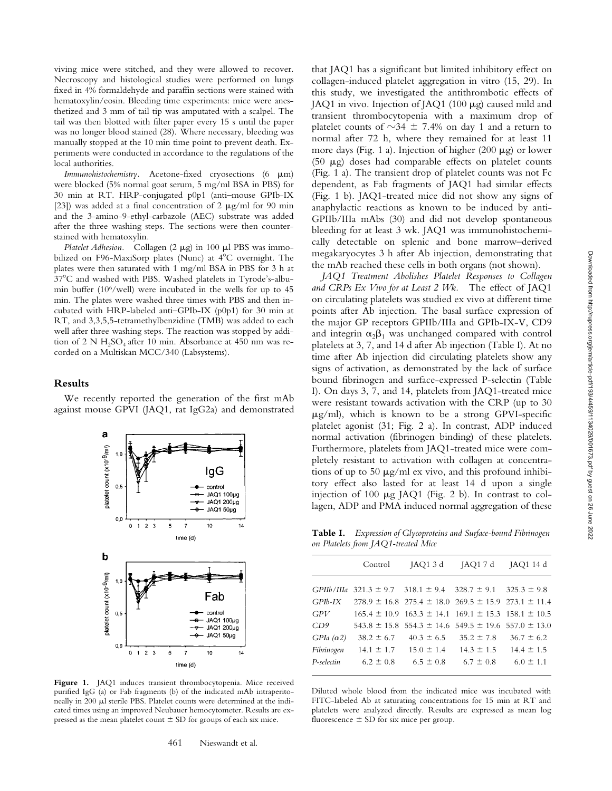viving mice were stitched, and they were allowed to recover. Necroscopy and histological studies were performed on lungs fixed in 4% formaldehyde and paraffin sections were stained with hematoxylin/eosin. Bleeding time experiments: mice were anesthetized and 3 mm of tail tip was amputated with a scalpel. The tail was then blotted with filter paper every 15 s until the paper was no longer blood stained (28). Where necessary, bleeding was manually stopped at the 10 min time point to prevent death. Experiments were conducted in accordance to the regulations of the local authorities.

*Immunohistochemistry*. Acetone-fixed cryosections (6  $\mu$ m) were blocked (5% normal goat serum, 5 mg/ml BSA in PBS) for 30 min at RT. HRP-conjugated p0p1 (anti–mouse GPIb-IX [23]) was added at a final concentration of 2  $\mu$ g/ml for 90 min and the 3-amino-9-ethyl-carbazole (AEC) substrate was added after the three washing steps. The sections were then counterstained with hematoxylin*.*

*Platelet Adhesion.* Collagen (2  $\mu$ g) in 100  $\mu$ l PBS was immobilized on F96-MaxiSorp plates (Nunc) at  $4^{\circ}$ C overnight. The plates were then saturated with 1 mg/ml BSA in PBS for 3 h at 37°C and washed with PBS. Washed platelets in Tyrode's-albumin buffer (106/well) were incubated in the wells for up to 45 min. The plates were washed three times with PBS and then incubated with HRP-labeled anti–GPIb-IX (p0p1) for 30 min at RT, and 3,3,5,5-tetramethylbenzidine (TMB) was added to each well after three washing steps. The reaction was stopped by addition of 2 N  $H_2SO_4$  after 10 min. Absorbance at 450 nm was recorded on a Multiskan MCC/340 (Labsystems).

#### **Results**

We recently reported the generation of the first mAb against mouse GPVI (JAQ1, rat IgG2a) and demonstrated



**Figure 1.** JAQ1 induces transient thrombocytopenia. Mice received purified IgG (a) or Fab fragments (b) of the indicated mAb intraperitoneally in 200 µl sterile PBS. Platelet counts were determined at the indicated times using an improved Neubauer hemocytometer. Results are expressed as the mean platelet count  $\pm$  SD for groups of each six mice.

that JAQ1 has a significant but limited inhibitory effect on collagen-induced platelet aggregation in vitro (15, 29). In this study, we investigated the antithrombotic effects of JAQ1 in vivo. Injection of JAQ1 (100 mg) caused mild and transient thrombocytopenia with a maximum drop of platelet counts of  $\sim$ 34  $\pm$  7.4% on day 1 and a return to normal after 72 h, where they remained for at least 11 more days (Fig. 1 a). Injection of higher (200  $\mu$ g) or lower (50  $\mu$ g) doses had comparable effects on platelet counts (Fig. 1 a). The transient drop of platelet counts was not Fc dependent, as Fab fragments of JAQ1 had similar effects (Fig. 1 b). JAQ1-treated mice did not show any signs of anaphylactic reactions as known to be induced by anti-GPIIb/IIIa mAbs (30) and did not develop spontaneous bleeding for at least 3 wk. JAQ1 was immunohistochemically detectable on splenic and bone marrow–derived megakaryocytes 3 h after Ab injection, demonstrating that the mAb reached these cells in both organs (not shown).

*JAQ1 Treatment Abolishes Platelet Responses to Collagen and CRPs Ex Vivo for at Least 2 Wk.* The effect of JAQ1 on circulating platelets was studied ex vivo at different time points after Ab injection. The basal surface expression of the major GP receptors GPIIb/IIIa and GPIb-IX-V, CD9 and integrin  $\alpha_2\beta_1$  was unchanged compared with control platelets at 3, 7, and 14 d after Ab injection (Table I). At no time after Ab injection did circulating platelets show any signs of activation, as demonstrated by the lack of surface bound fibrinogen and surface-expressed P-selectin (Table I). On days 3, 7, and 14, platelets from JAQ1-treated mice were resistant towards activation with the CRP (up to 30  $\mu$ g/ml), which is known to be a strong GPVI-specific platelet agonist (31; Fig. 2 a). In contrast, ADP induced normal activation (fibrinogen binding) of these platelets. Furthermore, platelets from JAQ1-treated mice were completely resistant to activation with collagen at concentrations of up to 50  $\mu$ g/ml ex vivo, and this profound inhibitory effect also lasted for at least 14 d upon a single injection of 100 µg JAQ1 (Fig. 2 b). In contrast to collagen, ADP and PMA induced normal aggregation of these

**Table I.** *Expression of Glycoproteins and Surface-bound Fibrinogen on Platelets from JAQ1-treated Mice*

|                   | Control        | JAQ1 3 d                                                                   | JAQ1 7 d                      | JAQ1 14 d      |
|-------------------|----------------|----------------------------------------------------------------------------|-------------------------------|----------------|
|                   |                | GPIIb/IIIa $321.3 \pm 9.7$ $318.1 \pm 9.4$ $328.7 \pm 9.1$ $325.3 \pm 9.8$ |                               |                |
|                   |                |                                                                            |                               |                |
| $GPIb$ -IX        |                | $278.9 \pm 16.8$ 275.4 $\pm$ 18.0 269.5 $\pm$ 15.9 273.1 $\pm$ 11.4        |                               |                |
| GPV               |                | $165.4 \pm 10.9$ $163.3 \pm 14.1$ $169.1 \pm 15.3$ $158.1 \pm 10.5$        |                               |                |
| CD9               |                | $543.8 \pm 15.8$ 554.3 $\pm$ 14.6 549.5 $\pm$ 19.6 557.0 $\pm$ 13.0        |                               |                |
| $GPIa (\alpha 2)$ | $38.2 \pm 6.7$ |                                                                            | $40.3 \pm 6.5$ $35.2 \pm 7.8$ | $36.7 \pm 6.2$ |
| Fibrinogen        |                | $14.1 \pm 1.7$ $15.0 \pm 1.4$ $14.3 \pm 1.5$ $14.4 \pm 1.5$                |                               |                |
| P-selectin        | $6.2 \pm 0.8$  | $6.5 \pm 0.8$                                                              | $6.7 \pm 0.8$                 | $6.0 \pm 1.1$  |
|                   |                |                                                                            |                               |                |

Diluted whole blood from the indicated mice was incubated with FITC-labeled Ab at saturating concentrations for 15 min at RT and platelets were analyzed directly. Results are expressed as mean log fluorescence  $\pm$  SD for six mice per group.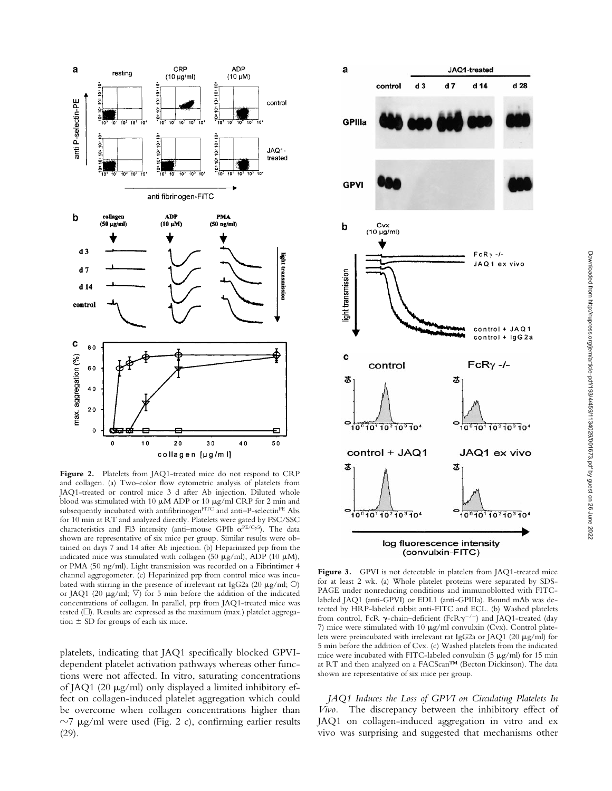

**Figure 2.** Platelets from JAQ1-treated mice do not respond to CRP and collagen. (a) Two-color flow cytometric analysis of platelets from JAQ1-treated or control mice 3 d after Ab injection. Diluted whole blood was stimulated with 10  $\mu$ M ADP or 10  $\mu$ g/ml CRP for 2 min and subsequently incubated with antifibrinogen $F^{\mathrm{ITC}}$  and anti–P-selectin $^{PE}$  Abs for 10 min at RT and analyzed directly. Platelets were gated by FSC/SSC characteristics and Fl3 intensity (anti-mouse GPIb  $\alpha^{PE/Cy5}$ ). The data shown are representative of six mice per group. Similar results were obtained on days 7 and 14 after Ab injection. (b) Heparinized prp from the indicated mice was stimulated with collagen (50  $\mu$ g/ml), ADP (10  $\mu$ M), or PMA (50 ng/ml). Light transmission was recorded on a Fibrintimer 4 channel aggregometer. (c) Heparinized prp from control mice was incubated with stirring in the presence of irrelevant rat IgG2a (20  $\mu$ g/ml; O) or JAQ1 (20  $\mu$ g/ml;  $\nabla$ ) for 5 min before the addition of the indicated concentrations of collagen. In parallel, prp from JAQ1-treated mice was tested  $(\Box)$ . Results are expressed as the maximum (max.) platelet aggregation  $\pm$  SD for groups of each six mice.

platelets, indicating that JAQ1 specifically blocked GPVIdependent platelet activation pathways whereas other functions were not affected. In vitro, saturating concentrations of JAQ1 (20  $\mu$ g/ml) only displayed a limited inhibitory effect on collagen-induced platelet aggregation which could be overcome when collagen concentrations higher than  $\sim$ 7 µg/ml were used (Fig. 2 c), confirming earlier results (29).



Figure 3. GPVI is not detectable in platelets from JAQ1-treated mice for at least 2 wk. (a) Whole platelet proteins were separated by SDS-PAGE under nonreducing conditions and immunoblotted with FITClabeled JAQ1 (anti-GPVI) or EDL1 (anti-GPIIIa). Bound mAb was detected by HRP-labeled rabbit anti-FITC and ECL. (b) Washed platelets from control, FcR  $\gamma$ -chain–deficient (FcR $\gamma^{-/-}$ ) and JAQ1-treated (day 7) mice were stimulated with 10  $\mu$ g/ml convulxin (Cvx). Control platelets were preincubated with irrelevant rat IgG2a or JAQ1 (20  $\mu$ g/ml) for 5 min before the addition of Cvx. (c) Washed platelets from the indicated mice were incubated with FITC-labeled convulxin  $(5 \mu g/ml)$  for 15 min at RT and then analyzed on a FACScan™ (Becton Dickinson). The data shown are representative of six mice per group.

*JAQ1 Induces the Loss of GPVI on Circulating Platelets In Vivo.* The discrepancy between the inhibitory effect of JAQ1 on collagen-induced aggregation in vitro and ex vivo was surprising and suggested that mechanisms other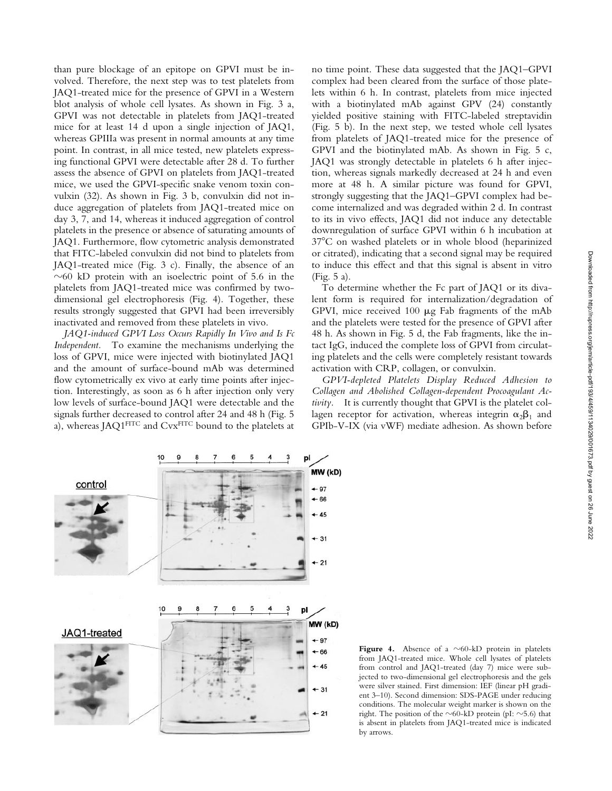than pure blockage of an epitope on GPVI must be involved. Therefore, the next step was to test platelets from JAQ1-treated mice for the presence of GPVI in a Western blot analysis of whole cell lysates. As shown in Fig. 3 a, GPVI was not detectable in platelets from JAQ1-treated mice for at least 14 d upon a single injection of JAQ1, whereas GPIIIa was present in normal amounts at any time point. In contrast, in all mice tested, new platelets expressing functional GPVI were detectable after 28 d. To further assess the absence of GPVI on platelets from JAQ1-treated mice, we used the GPVI-specific snake venom toxin convulxin (32). As shown in Fig. 3 b, convulxin did not induce aggregation of platelets from JAQ1-treated mice on day 3, 7, and 14, whereas it induced aggregation of control platelets in the presence or absence of saturating amounts of JAQ1. Furthermore, flow cytometric analysis demonstrated that FITC-labeled convulxin did not bind to platelets from JAQ1-treated mice (Fig. 3 c). Finally, the absence of an  $\sim$  60 kD protein with an isoelectric point of 5.6 in the platelets from JAQ1-treated mice was confirmed by twodimensional gel electrophoresis (Fig. 4). Together, these results strongly suggested that GPVI had been irreversibly inactivated and removed from these platelets in vivo.

*JAQ1-induced GPVI Loss Occurs Rapidly In Vivo and Is Fc Independent.* To examine the mechanisms underlying the loss of GPVI, mice were injected with biotinylated JAQ1 and the amount of surface-bound mAb was determined flow cytometrically ex vivo at early time points after injection. Interestingly, as soon as 6 h after injection only very low levels of surface-bound JAQ1 were detectable and the signals further decreased to control after 24 and 48 h (Fig. 5 a), whereas JAQ1FITC and CvxFITC bound to the platelets at

no time point. These data suggested that the JAQ1–GPVI complex had been cleared from the surface of those platelets within 6 h. In contrast, platelets from mice injected with a biotinylated mAb against GPV (24) constantly yielded positive staining with FITC-labeled streptavidin (Fig. 5 b). In the next step, we tested whole cell lysates from platelets of JAQ1-treated mice for the presence of GPVI and the biotinylated mAb. As shown in Fig. 5 c, JAQ1 was strongly detectable in platelets 6 h after injection, whereas signals markedly decreased at 24 h and even more at 48 h. A similar picture was found for GPVI, strongly suggesting that the JAQ1–GPVI complex had become internalized and was degraded within 2 d. In contrast to its in vivo effects, JAQ1 did not induce any detectable downregulation of surface GPVI within 6 h incubation at 378C on washed platelets or in whole blood (heparinized or citrated), indicating that a second signal may be required to induce this effect and that this signal is absent in vitro (Fig. 5 a).

To determine whether the Fc part of JAQ1 or its divalent form is required for internalization/degradation of GPVI, mice received  $100 \mu$ g Fab fragments of the mAb and the platelets were tested for the presence of GPVI after 48 h. As shown in Fig. 5 d, the Fab fragments, like the intact IgG, induced the complete loss of GPVI from circulating platelets and the cells were completely resistant towards activation with CRP, collagen, or convulxin.

*GPVI-depleted Platelets Display Reduced Adhesion to Collagen and Abolished Collagen-dependent Procoagulant Activity.* It is currently thought that GPVI is the platelet collagen receptor for activation, whereas integrin  $\alpha_2\beta_1$  and GPIb-V-IX (via vWF) mediate adhesion. As shown before



**Figure 4.** Absence of a  $\sim$  60-kD protein in platelets from JAQ1-treated mice. Whole cell lysates of platelets from control and JAQ1-treated (day 7) mice were subjected to two-dimensional gel electrophoresis and the gels were silver stained. First dimension: IEF (linear pH gradient 3–10). Second dimension: SDS-PAGE under reducing conditions. The molecular weight marker is shown on the right. The position of the  $\sim$ 60-kD protein (pI:  $\sim$ 5.6) that is absent in platelets from JAQ1-treated mice is indicated by arrows.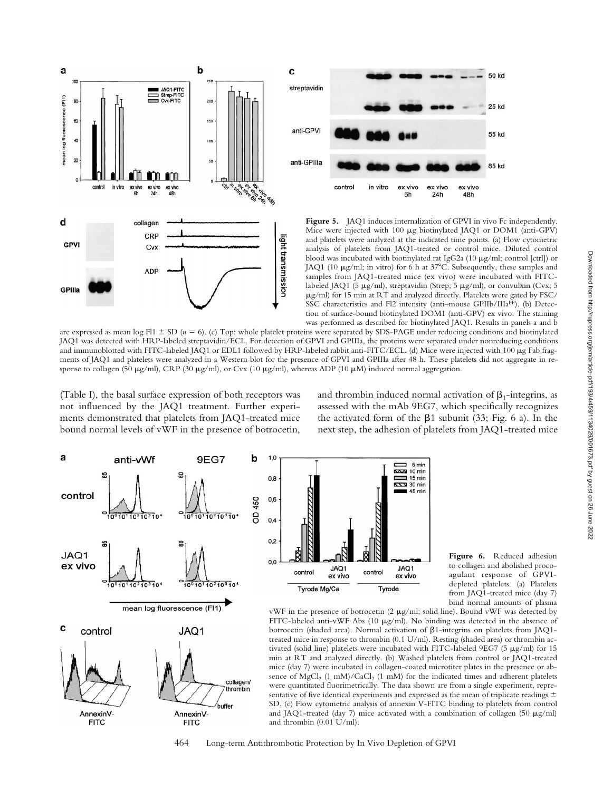



50 kd

Mice were injected with 100 µg biotinylated JAQ1 or DOM1 (anti-GPV) and platelets were analyzed at the indicated time points. (a) Flow cytometric analysis of platelets from JAQ1-treated or control mice. Diluted control blood was incubated with biotinylated rat IgG2a (10 µg/ml; control [ctrl]) or JAQ1 (10  $\mu$ g/ml; in vitro) for 6 h at 37°C. Subsequently, these samples and samples from JAQ1-treated mice (ex vivo) were incubated with FITClabeled JAQ1 (5 µg/ml), streptavidin (Strep; 5 µg/ml), or convulxin (Cvx; 5  $\mu$ g/ml) for 15 min at RT and analyzed directly. Platelets were gated by FSC/ SSC characteristics and Fl2 intensity (anti-mouse GPIIb/IIIaPE). (b) Detection of surface-bound biotinylated DOM1 (anti-GPV) ex vivo. The staining was performed as described for biotinylated JAQ1. Results in panels a and b

are expressed as mean log Fl1  $\pm$  SD ( $n = 6$ ). (c) Top: whole platelet proteins were separated by SDS-PAGE under reducing conditions and biotinylated JAQ1 was detected with HRP-labeled streptavidin/ECL. For detection of GPVI and GPIIIa, the proteins were separated under nonreducing conditions and immunoblotted with FITC-labeled JAQ1 or EDL1 followed by HRP-labeled rabbit anti-FITC/ECL. (d) Mice were injected with 100 µg Fab fragments of JAQ1 and platelets were analyzed in a Western blot for the presence of GPVI and GPIIIa after 48 h. These platelets did not aggregate in response to collagen (50  $\mu$ g/ml), CRP (30  $\mu$ g/ml), or Cvx (10  $\mu$ g/ml), whereas ADP (10  $\mu$ M) induced normal aggregation.

(Table I), the basal surface expression of both receptors was not influenced by the JAQ1 treatment. Further experiments demonstrated that platelets from JAQ1-treated mice bound normal levels of vWF in the presence of botrocetin, and thrombin induced normal activation of  $\beta_1$ -integrins, as assessed with the mAb 9EG7, which specifically recognizes the activated form of the  $\beta$ 1 subunit (33; Fig. 6 a). In the next step, the adhesion of platelets from JAQ1-treated mice



 $1,0$  $\begin{array}{ccc} \overline{\phantom{aa}} & 5 \text{ min} \\ \overline{\phantom{aa}} & 10 \text{ min} \end{array}$  $0.8$  $\equiv$  15 min 8223 30 min  $45$  min  $0,6$  $0,4$  $0,2$  $0.0$ JAQ1 JAQ1 control control ex vivo ex vivo Tyrode Mg/Ca Tyrode

**Figure 6.** Reduced adhesion to collagen and abolished procoagulant response of GPVIdepleted platelets. (a) Platelets from JAQ1-treated mice (day 7) bind normal amounts of plasma

vWF in the presence of botrocetin  $(2 \mu g/ml;$  solid line). Bound vWF was detected by FITC-labeled anti-vWF Abs (10 µg/ml). No binding was detected in the absence of botrocetin (shaded area). Normal activation of  $\beta$ 1-integrins on platelets from JAQ1treated mice in response to thrombin (0.1 U/ml). Resting (shaded area) or thrombin activated (solid line) platelets were incubated with FITC-labeled 9EG7 (5  $\mu$ g/ml) for 15 min at RT and analyzed directly. (b) Washed platelets from control or JAQ1-treated mice (day 7) were incubated in collagen-coated microtiter plates in the presence or absence of  $MgCl<sub>2</sub>$  (1 mM)/CaCl<sub>2</sub> (1 mM) for the indicated times and adherent platelets were quantitated fluorimetrically. The data shown are from a single experiment, representative of five identical experiments and expressed as the mean of triplicate readings  $\pm$ SD. (c) Flow cytometric analysis of annexin V-FITC binding to platelets from control and JAQ1-treated (day 7) mice activated with a combination of collagen (50  $\mu$ g/ml) and thrombin (0.01 U/ml).

464 Long-term Antithrombotic Protection by In Vivo Depletion of GPVI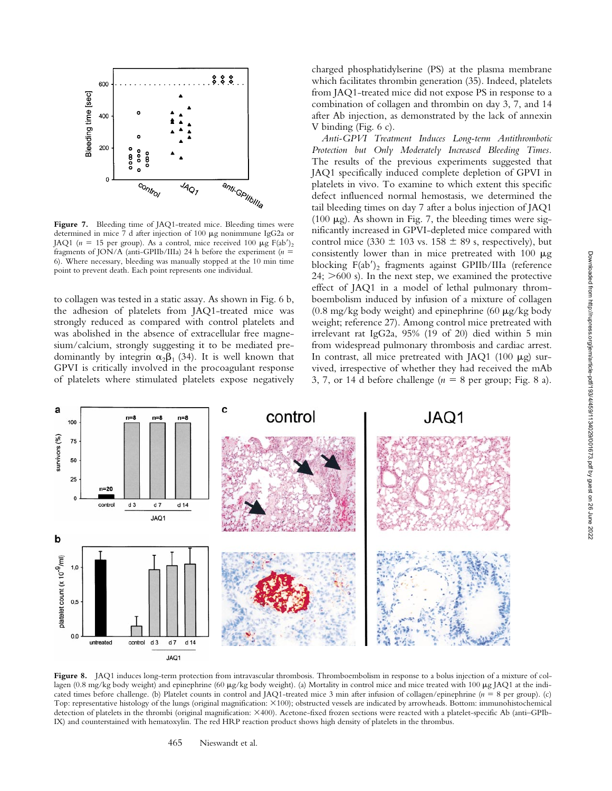

Figure 7. Bleeding time of JAQ1-treated mice. Bleeding times were determined in mice 7 d after injection of 100  $\mu$ g nonimmune IgG2a or JAQ1 ( $n = 15$  per group). As a control, mice received 100  $\mu$ g F(ab')<sub>2</sub> fragments of JON/A (anti-GPIIb/IIIa) 24 h before the experiment ( $n =$ 6). Where necessary, bleeding was manually stopped at the 10 min time point to prevent death. Each point represents one individual.

to collagen was tested in a static assay. As shown in Fig. 6 b, the adhesion of platelets from JAQ1-treated mice was strongly reduced as compared with control platelets and was abolished in the absence of extracellular free magnesium/calcium, strongly suggesting it to be mediated predominantly by integrin  $\alpha_2\beta_1$  (34). It is well known that GPVI is critically involved in the procoagulant response of platelets where stimulated platelets expose negatively

charged phosphatidylserine (PS) at the plasma membrane which facilitates thrombin generation (35). Indeed, platelets from JAQ1-treated mice did not expose PS in response to a combination of collagen and thrombin on day 3, 7, and 14 after Ab injection, as demonstrated by the lack of annexin V binding (Fig. 6 c).

*Anti-GPVI Treatment Induces Long-term Antithrombotic Protection but Only Moderately Increased Bleeding Times.* The results of the previous experiments suggested that JAQ1 specifically induced complete depletion of GPVI in platelets in vivo. To examine to which extent this specific defect influenced normal hemostasis, we determined the tail bleeding times on day 7 after a bolus injection of JAQ1 (100  $\mu$ g). As shown in Fig. 7, the bleeding times were significantly increased in GPVI-depleted mice compared with control mice (330  $\pm$  103 vs. 158  $\pm$  89 s, respectively), but consistently lower than in mice pretreated with  $100 \mu$ g blocking  $F(ab')_2$  fragments against GPIIb/IIIa (reference  $24$ ;  $>600$  s). In the next step, we examined the protective effect of JAQ1 in a model of lethal pulmonary thromboembolism induced by infusion of a mixture of collagen  $(0.8 \text{ mg/kg}$  body weight) and epinephrine  $(60 \mu g/kg)$  body weight; reference 27). Among control mice pretreated with irrelevant rat IgG2a, 95% (19 of 20) died within 5 min from widespread pulmonary thrombosis and cardiac arrest. In contrast, all mice pretreated with JAQ1 (100  $\mu$ g) survived, irrespective of whether they had received the mAb 3, 7, or 14 d before challenge  $(n = 8$  per group; Fig. 8 a).



Figure 8. JAQ1 induces long-term protection from intravascular thrombosis. Thromboembolism in response to a bolus injection of a mixture of collagen (0.8 mg/kg body weight) and epinephrine (60 µg/kg body weight). (a) Mortality in control mice and mice treated with 100 µg JAQ1 at the indicated times before challenge. (b) Platelet counts in control and JAQ1-treated mice 3 min after infusion of collagen/epinephrine (*n* 5 8 per group). (c) Top: representative histology of the lungs (original magnification: 3100); obstructed vessels are indicated by arrowheads. Bottom: immunohistochemical detection of platelets in the thrombi (original magnification: 3400). Acetone-fixed frozen sections were reacted with a platelet-specific Ab (anti–GPIb-IX) and counterstained with hematoxylin. The red HRP reaction product shows high density of platelets in the thrombus.

465 Nieswandt et al.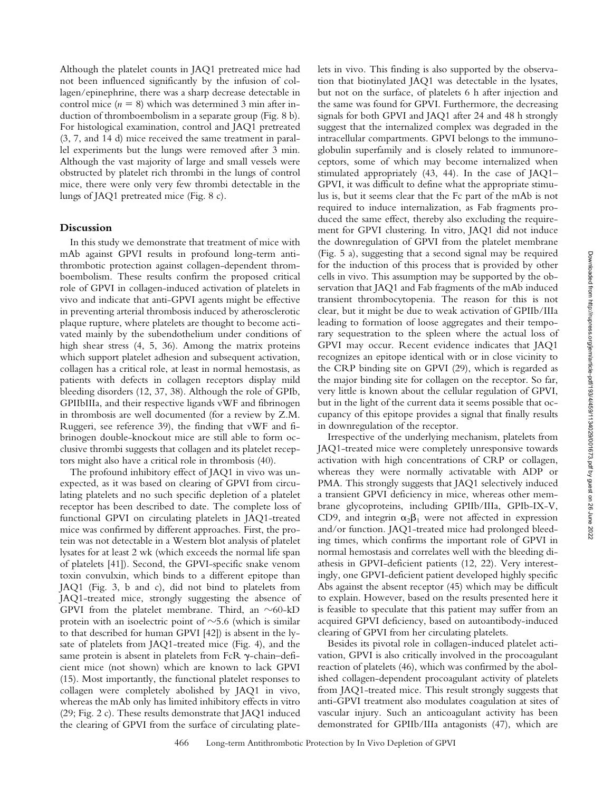Although the platelet counts in JAQ1 pretreated mice had not been influenced significantly by the infusion of collagen/epinephrine, there was a sharp decrease detectable in control mice  $(n = 8)$  which was determined 3 min after induction of thromboembolism in a separate group (Fig. 8 b). For histological examination, control and JAQ1 pretreated (3, 7, and 14 d) mice received the same treatment in parallel experiments but the lungs were removed after 3 min. Although the vast majority of large and small vessels were obstructed by platelet rich thrombi in the lungs of control mice, there were only very few thrombi detectable in the lungs of JAQ1 pretreated mice (Fig. 8 c).

## **Discussion**

In this study we demonstrate that treatment of mice with mAb against GPVI results in profound long-term antithrombotic protection against collagen-dependent thromboembolism. These results confirm the proposed critical role of GPVI in collagen-induced activation of platelets in vivo and indicate that anti-GPVI agents might be effective in preventing arterial thrombosis induced by atherosclerotic plaque rupture, where platelets are thought to become activated mainly by the subendothelium under conditions of high shear stress (4, 5, 36). Among the matrix proteins which support platelet adhesion and subsequent activation, collagen has a critical role, at least in normal hemostasis, as patients with defects in collagen receptors display mild bleeding disorders (12, 37, 38). Although the role of GPIb, GPIIbIIIa, and their respective ligands vWF and fibrinogen in thrombosis are well documented (for a review by Z.M. Ruggeri, see reference 39), the finding that vWF and fibrinogen double-knockout mice are still able to form occlusive thrombi suggests that collagen and its platelet receptors might also have a critical role in thrombosis (40).

The profound inhibitory effect of JAQ1 in vivo was unexpected, as it was based on clearing of GPVI from circulating platelets and no such specific depletion of a platelet receptor has been described to date. The complete loss of functional GPVI on circulating platelets in JAQ1-treated mice was confirmed by different approaches. First, the protein was not detectable in a Western blot analysis of platelet lysates for at least 2 wk (which exceeds the normal life span of platelets [41]). Second, the GPVI-specific snake venom toxin convulxin, which binds to a different epitope than JAQ1 (Fig. 3, b and c), did not bind to platelets from JAQ1-treated mice, strongly suggesting the absence of GPVI from the platelet membrane. Third, an  $\sim$ 60-kD protein with an isoelectric point of  $\sim$  5.6 (which is similar to that described for human GPVI [42]) is absent in the lysate of platelets from JAQ1-treated mice (Fig. 4), and the same protein is absent in platelets from FcR  $\gamma$ -chain–deficient mice (not shown) which are known to lack GPVI (15). Most importantly, the functional platelet responses to collagen were completely abolished by JAQ1 in vivo, whereas the mAb only has limited inhibitory effects in vitro (29; Fig. 2 c). These results demonstrate that JAQ1 induced the clearing of GPVI from the surface of circulating platelets in vivo. This finding is also supported by the observation that biotinylated JAQ1 was detectable in the lysates, but not on the surface, of platelets 6 h after injection and the same was found for GPVI. Furthermore, the decreasing signals for both GPVI and JAQ1 after 24 and 48 h strongly suggest that the internalized complex was degraded in the intracellular compartments. GPVI belongs to the immunoglobulin superfamily and is closely related to immunoreceptors, some of which may become internalized when stimulated appropriately (43, 44). In the case of JAQ1– GPVI, it was difficult to define what the appropriate stimulus is, but it seems clear that the Fc part of the mAb is not required to induce internalization, as Fab fragments produced the same effect, thereby also excluding the requirement for GPVI clustering. In vitro, JAQ1 did not induce the downregulation of GPVI from the platelet membrane (Fig. 5 a), suggesting that a second signal may be required for the induction of this process that is provided by other cells in vivo. This assumption may be supported by the observation that JAQ1 and Fab fragments of the mAb induced transient thrombocytopenia. The reason for this is not clear, but it might be due to weak activation of GPIIb/IIIa leading to formation of loose aggregates and their temporary sequestration to the spleen where the actual loss of GPVI may occur. Recent evidence indicates that JAQ1 recognizes an epitope identical with or in close vicinity to the CRP binding site on GPVI (29), which is regarded as the major binding site for collagen on the receptor. So far, very little is known about the cellular regulation of GPVI, but in the light of the current data it seems possible that occupancy of this epitope provides a signal that finally results in downregulation of the receptor.

Irrespective of the underlying mechanism, platelets from JAQ1-treated mice were completely unresponsive towards activation with high concentrations of CRP or collagen, whereas they were normally activatable with ADP or PMA. This strongly suggests that JAQ1 selectively induced a transient GPVI deficiency in mice, whereas other membrane glycoproteins, including GPIIb/IIIa, GPIb-IX-V, CD9, and integrin  $\alpha_2\beta_1$  were not affected in expression and/or function. JAQ1-treated mice had prolonged bleeding times, which confirms the important role of GPVI in normal hemostasis and correlates well with the bleeding diathesis in GPVI-deficient patients (12, 22). Very interestingly, one GPVI-deficient patient developed highly specific Abs against the absent receptor (45) which may be difficult to explain. However, based on the results presented here it is feasible to speculate that this patient may suffer from an acquired GPVI deficiency, based on autoantibody-induced clearing of GPVI from her circulating platelets.

Besides its pivotal role in collagen-induced platelet activation, GPVI is also critically involved in the procoagulant reaction of platelets (46), which was confirmed by the abolished collagen-dependent procoagulant activity of platelets from JAQ1-treated mice. This result strongly suggests that anti-GPVI treatment also modulates coagulation at sites of vascular injury. Such an anticoagulant activity has been demonstrated for GPIIb/IIIa antagonists (47), which are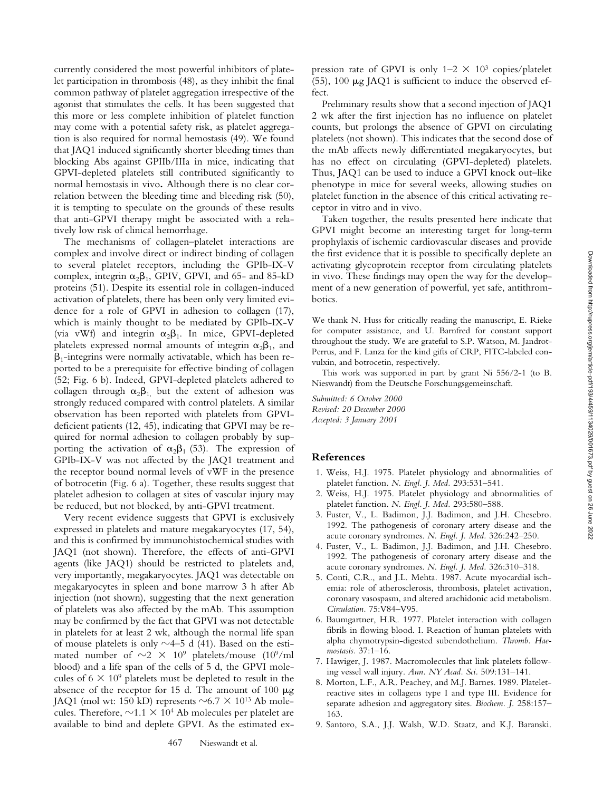currently considered the most powerful inhibitors of platelet participation in thrombosis (48), as they inhibit the final common pathway of platelet aggregation irrespective of the agonist that stimulates the cells. It has been suggested that this more or less complete inhibition of platelet function may come with a potential safety risk, as platelet aggregation is also required for normal hemostasis (49). We found that JAQ1 induced significantly shorter bleeding times than blocking Abs against GPIIb/IIIa in mice, indicating that GPVI-depleted platelets still contributed significantly to normal hemostasis in vivo**.** Although there is no clear correlation between the bleeding time and bleeding risk (50), it is tempting to speculate on the grounds of these results that anti-GPVI therapy might be associated with a relatively low risk of clinical hemorrhage.

The mechanisms of collagen–platelet interactions are complex and involve direct or indirect binding of collagen to several platelet receptors, including the GPIb-IX-V complex, integrin  $\alpha_2\beta_1$ , GPIV, GPVI, and 65- and 85-kD proteins (51). Despite its essential role in collagen-induced activation of platelets, there has been only very limited evidence for a role of GPVI in adhesion to collagen (17), which is mainly thought to be mediated by GPIb-IX-V (via vWf) and integrin  $\alpha_2\beta_1$ . In mice, GPVI-depleted platelets expressed normal amounts of integrin  $\alpha_2\beta_1$ , and  $\beta_1$ -integrins were normally activatable, which has been reported to be a prerequisite for effective binding of collagen (52; Fig. 6 b). Indeed, GPVI-depleted platelets adhered to collagen through  $\alpha_2\beta_1$  but the extent of adhesion was strongly reduced compared with control platelets. A similar observation has been reported with platelets from GPVIdeficient patients (12, 45), indicating that GPVI may be required for normal adhesion to collagen probably by supporting the activation of  $\alpha_2\beta_1$  (53). The expression of GPIb-IX-V was not affected by the JAQ1 treatment and the receptor bound normal levels of vWF in the presence of botrocetin (Fig. 6 a). Together, these results suggest that platelet adhesion to collagen at sites of vascular injury may be reduced, but not blocked, by anti-GPVI treatment.

Very recent evidence suggests that GPVI is exclusively expressed in platelets and mature megakaryocytes (17, 54), and this is confirmed by immunohistochemical studies with JAQ1 (not shown). Therefore, the effects of anti-GPVI agents (like JAQ1) should be restricted to platelets and, very importantly, megakaryocytes. JAQ1 was detectable on megakaryocytes in spleen and bone marrow 3 h after Ab injection (not shown), suggesting that the next generation of platelets was also affected by the mAb. This assumption may be confirmed by the fact that GPVI was not detectable in platelets for at least 2 wk, although the normal life span of mouse platelets is only  $\sim$ 4–5 d (41). Based on the estimated number of  $\sim$ 2  $\times$  10<sup>9</sup> platelets/mouse (10<sup>9</sup>/ml blood) and a life span of the cells of 5 d, the GPVI molecules of  $6 \times 10^9$  platelets must be depleted to result in the absence of the receptor for 15 d. The amount of 100  $\mu$ g JAQ1 (mol wt: 150 kD) represents  $\sim 6.7 \times 10^{13}$  Ab molecules. Therefore,  $\sim$ 1.1  $\times$  10<sup>4</sup> Ab molecules per platelet are available to bind and deplete GPVI. As the estimated expression rate of GPVI is only  $1-2 \times 10^3$  copies/platelet (55),  $100 \mu$ g JAQ1 is sufficient to induce the observed effect.

Preliminary results show that a second injection of JAQ1 2 wk after the first injection has no influence on platelet counts, but prolongs the absence of GPVI on circulating platelets (not shown). This indicates that the second dose of the mAb affects newly differentiated megakaryocytes, but has no effect on circulating (GPVI-depleted) platelets. Thus, JAQ1 can be used to induce a GPVI knock out–like phenotype in mice for several weeks, allowing studies on platelet function in the absence of this critical activating receptor in vitro and in vivo.

Taken together, the results presented here indicate that GPVI might become an interesting target for long-term prophylaxis of ischemic cardiovascular diseases and provide the first evidence that it is possible to specifically deplete an activating glycoprotein receptor from circulating platelets in vivo. These findings may open the way for the development of a new generation of powerful, yet safe, antithrombotics.

We thank N. Huss for critically reading the manuscript, E. Rieke for computer assistance, and U. Barnfred for constant support throughout the study. We are grateful to S.P. Watson, M. Jandrot-Perrus, and F. Lanza for the kind gifts of CRP, FITC-labeled convulxin, and botrocetin, respectively.

This work was supported in part by grant Ni 556/2-1 (to B. Nieswandt) from the Deutsche Forschungsgemeinschaft.

*Submitted: 6 October 2000 Revised: 20 December 2000 Accepted: 3 January 2001*

#### **References**

- 1. Weiss, H.J. 1975. Platelet physiology and abnormalities of platelet function. *N. Engl. J. Med.* 293:531–541.
- 2. Weiss, H.J. 1975. Platelet physiology and abnormalities of platelet function. *N. Engl. J. Med.* 293:580–588.
- 3. Fuster, V., L. Badimon, J.J. Badimon, and J.H. Chesebro. 1992. The pathogenesis of coronary artery disease and the acute coronary syndromes. *N. Engl. J. Med.* 326:242–250.
- 4. Fuster, V., L. Badimon, J.J. Badimon, and J.H. Chesebro. 1992. The pathogenesis of coronary artery disease and the acute coronary syndromes. *N. Engl. J. Med.* 326:310–318.
- 5. Conti, C.R., and J.L. Mehta. 1987. Acute myocardial ischemia: role of atherosclerosis, thrombosis, platelet activation, coronary vasospasm, and altered arachidonic acid metabolism. *Circulation.* 75:V84–V95.
- 6. Baumgartner, H.R. 1977. Platelet interaction with collagen fibrils in flowing blood. I. Reaction of human platelets with alpha chymotrypsin-digested subendothelium. *Thromb. Haemostasis.* 37:1–16.
- 7. Hawiger, J. 1987. Macromolecules that link platelets following vessel wall injury. *Ann. NY Acad. Sci.* 509:131–141.
- 8. Morton, L.F., A.R. Peachey, and M.J. Barnes. 1989. Plateletreactive sites in collagens type I and type III. Evidence for separate adhesion and aggregatory sites. *Biochem. J.* 258:157– 163.
- 9. Santoro, S.A., J.J. Walsh, W.D. Staatz, and K.J. Baranski.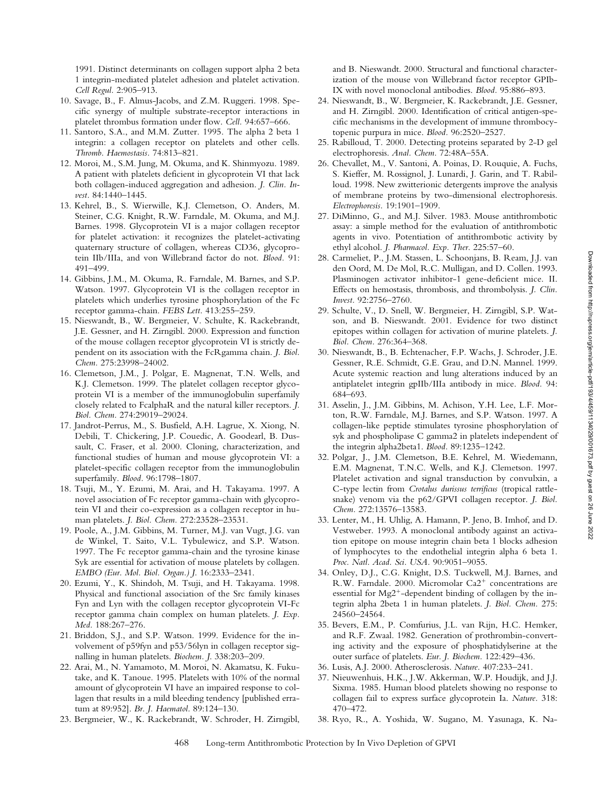1991. Distinct determinants on collagen support alpha 2 beta 1 integrin-mediated platelet adhesion and platelet activation. *Cell Regul.* 2:905–913.

- 10. Savage, B., F. Almus-Jacobs, and Z.M. Ruggeri. 1998. Specific synergy of multiple substrate-receptor interactions in platelet thrombus formation under flow. *Cell.* 94:657–666.
- 11. Santoro, S.A., and M.M. Zutter. 1995. The alpha 2 beta 1 integrin: a collagen receptor on platelets and other cells. *Thromb. Haemostasis.* 74:813–821.
- 12. Moroi, M., S.M. Jung, M. Okuma, and K. Shinmyozu. 1989. A patient with platelets deficient in glycoprotein VI that lack both collagen-induced aggregation and adhesion. *J. Clin. Invest.* 84:1440–1445.
- 13. Kehrel, B., S. Wierwille, K.J. Clemetson, O. Anders, M. Steiner, C.G. Knight, R.W. Farndale, M. Okuma, and M.J. Barnes. 1998. Glycoprotein VI is a major collagen receptor for platelet activation: it recognizes the platelet-activating quaternary structure of collagen, whereas CD36, glycoprotein IIb/IIIa, and von Willebrand factor do not. *Blood.* 91: 491–499.
- 14. Gibbins, J.M., M. Okuma, R. Farndale, M. Barnes, and S.P. Watson. 1997. Glycoprotein VI is the collagen receptor in platelets which underlies tyrosine phosphorylation of the Fc receptor gamma-chain. *FEBS Lett.* 413:255–259.
- 15. Nieswandt, B., W. Bergmeier, V. Schulte, K. Rackebrandt, J.E. Gessner, and H. Zirngibl. 2000. Expression and function of the mouse collagen receptor glycoprotein VI is strictly dependent on its association with the FcRgamma chain. *J. Biol. Chem.* 275:23998–24002.
- 16. Clemetson, J.M., J. Polgar, E. Magnenat, T.N. Wells, and K.J. Clemetson. 1999. The platelet collagen receptor glycoprotein VI is a member of the immunoglobulin superfamily closely related to FcalphaR and the natural killer receptors. *J. Biol. Chem.* 274:29019–29024.
- 17. Jandrot-Perrus, M., S. Busfield, A.H. Lagrue, X. Xiong, N. Debili, T. Chickering, J.P. Couedic, A. Goodearl, B. Dussault, C. Fraser, et al. 2000. Cloning, characterization, and functional studies of human and mouse glycoprotein VI: a platelet-specific collagen receptor from the immunoglobulin superfamily. *Blood.* 96:1798–1807.
- 18. Tsuji, M., Y. Ezumi, M. Arai, and H. Takayama. 1997. A novel association of Fc receptor gamma-chain with glycoprotein VI and their co-expression as a collagen receptor in human platelets. *J. Biol. Chem.* 272:23528–23531.
- 19. Poole, A., J.M. Gibbins, M. Turner, M.J. van Vugt, J.G. van de Winkel, T. Saito, V.L. Tybulewicz, and S.P. Watson. 1997. The Fc receptor gamma-chain and the tyrosine kinase Syk are essential for activation of mouse platelets by collagen. *EMBO (Eur. Mol. Biol. Organ.) J.* 16:2333–2341.
- 20. Ezumi, Y., K. Shindoh, M. Tsuji, and H. Takayama. 1998. Physical and functional association of the Src family kinases Fyn and Lyn with the collagen receptor glycoprotein VI-Fc receptor gamma chain complex on human platelets. *J. Exp. Med.* 188:267–276.
- 21. Briddon, S.J., and S.P. Watson. 1999. Evidence for the involvement of p59fyn and p53/56lyn in collagen receptor signalling in human platelets. *Biochem. J*. 338:203–209.
- 22. Arai, M., N. Yamamoto, M. Moroi, N. Akamatsu, K. Fukutake, and K. Tanoue. 1995. Platelets with 10% of the normal amount of glycoprotein VI have an impaired response to collagen that results in a mild bleeding tendency [published erratum at 89:952]. *Br. J. Haematol.* 89:124–130.
- 23. Bergmeier, W., K. Rackebrandt, W. Schroder, H. Zirngibl,

and B. Nieswandt. 2000. Structural and functional characterization of the mouse von Willebrand factor receptor GPIb-IX with novel monoclonal antibodies. *Blood.* 95:886–893.

- 24. Nieswandt, B., W. Bergmeier, K. Rackebrandt, J.E. Gessner, and H. Zirngibl. 2000. Identification of critical antigen-specific mechanisms in the development of immune thrombocytopenic purpura in mice. *Blood.* 96:2520–2527.
- 25. Rabilloud, T. 2000. Detecting proteins separated by 2-D gel electrophoresis. *Anal. Chem.* 72:48A–55A.
- 26. Chevallet, M., V. Santoni, A. Poinas, D. Rouquie, A. Fuchs, S. Kieffer, M. Rossignol, J. Lunardi, J. Garin, and T. Rabilloud. 1998. New zwitterionic detergents improve the analysis of membrane proteins by two-dimensional electrophoresis. *Electrophoresis.* 19:1901–1909.
- 27. DiMinno, G., and M.J. Silver. 1983. Mouse antithrombotic assay: a simple method for the evaluation of antithrombotic agents in vivo. Potentiation of antithrombotic activity by ethyl alcohol. *J. Pharmacol. Exp. Ther.* 225:57–60.
- 28. Carmeliet, P., J.M. Stassen, L. Schoonjans, B. Ream, J.J. van den Oord, M. De Mol, R.C. Mulligan, and D. Collen. 1993. Plasminogen activator inhibitor-1 gene-deficient mice. II. Effects on hemostasis, thrombosis, and thrombolysis. *J. Clin. Invest.* 92:2756–2760.
- 29. Schulte, V., D. Snell, W. Bergmeier, H. Zirngibl, S.P. Watson, and B. Nieswandt. 2001. Evidence for two distinct epitopes within collagen for activation of murine platelets. *J. Biol. Chem.* 276:364–368.
- 30. Nieswandt, B., B. Echtenacher, F.P. Wachs, J. Schroder, J.E. Gessner, R.E. Schmidt, G.E. Grau, and D.N. Mannel. 1999. Acute systemic reaction and lung alterations induced by an antiplatelet integrin gpIIb/IIIa antibody in mice. *Blood.* 94: 684–693.
- 31. Asselin, J., J.M. Gibbins, M. Achison, Y.H. Lee, L.F. Morton, R.W. Farndale, M.J. Barnes, and S.P. Watson. 1997. A collagen-like peptide stimulates tyrosine phosphorylation of syk and phospholipase C gamma2 in platelets independent of the integrin alpha2beta1. *Blood.* 89:1235–1242.
- 32. Polgar, J., J.M. Clemetson, B.E. Kehrel, M. Wiedemann, E.M. Magnenat, T.N.C. Wells, and K.J. Clemetson. 1997. Platelet activation and signal transduction by convulxin, a C-type lectin from *Crotalus durissus terrificus* (tropical rattlesnake) venom via the p62/GPVI collagen receptor. *J. Biol. Chem.* 272:13576–13583.
- 33. Lenter, M., H. Uhlig, A. Hamann, P. Jeno, B. Imhof, and D. Vestweber. 1993. A monoclonal antibody against an activation epitope on mouse integrin chain beta 1 blocks adhesion of lymphocytes to the endothelial integrin alpha 6 beta 1. *Proc. Natl. Acad. Sci. USA.* 90:9051–9055.
- 34. Onley, D.J., C.G. Knight, D.S. Tuckwell, M.J. Barnes, and R.W. Farndale. 2000. Micromolar  $Ca2^+$  concentrations are essential for  $Mg2^+$ -dependent binding of collagen by the integrin alpha 2beta 1 in human platelets. *J. Biol. Chem.* 275: 24560–24564.
- 35. Bevers, E.M., P. Comfurius, J.L. van Rijn, H.C. Hemker, and R.F. Zwaal. 1982. Generation of prothrombin-converting activity and the exposure of phosphatidylserine at the outer surface of platelets. *Eur. J. Biochem.* 122:429–436.
- 36. Lusis, A.J. 2000. Atherosclerosis. *Nature.* 407:233–241.
- 37. Nieuwenhuis, H.K., J.W. Akkerman, W.P. Houdijk, and J.J. Sixma. 1985. Human blood platelets showing no response to collagen fail to express surface glycoprotein Ia. *Nature.* 318: 470–472.
- 38. Ryo, R., A. Yoshida, W. Sugano, M. Yasunaga, K. Na-